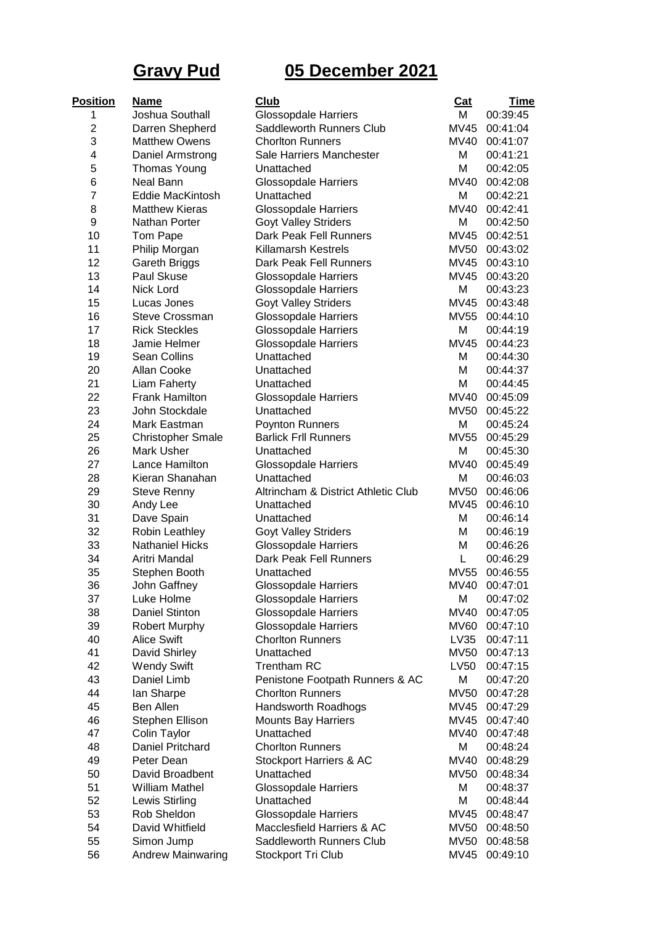## **Gravy Pud 05 December 2021**

| <b>Position</b> | <b>Name</b>              | Club                                | Cat         | Time     |
|-----------------|--------------------------|-------------------------------------|-------------|----------|
| 1               | Joshua Southall          | <b>Glossopdale Harriers</b>         | м           | 00:39:45 |
| 2               | Darren Shepherd          | Saddleworth Runners Club            | MV45        | 00:41:04 |
| 3               | <b>Matthew Owens</b>     | <b>Chorlton Runners</b>             | MV40        | 00:41:07 |
| 4               | Daniel Armstrong         | Sale Harriers Manchester            | M           | 00:41:21 |
| 5               | <b>Thomas Young</b>      | Unattached                          | M           | 00:42:05 |
| 6               | <b>Neal Bann</b>         | <b>Glossopdale Harriers</b>         | MV40        | 00:42:08 |
| 7               | Eddie MacKintosh         | Unattached                          | M           | 00:42:21 |
| 8               | <b>Matthew Kieras</b>    | <b>Glossopdale Harriers</b>         | <b>MV40</b> | 00:42:41 |
| 9               | Nathan Porter            | <b>Goyt Valley Striders</b>         | M           | 00:42:50 |
| 10              | Tom Pape                 | Dark Peak Fell Runners              | MV45        | 00:42:51 |
| 11              | Philip Morgan            | <b>Killamarsh Kestrels</b>          | MV50        | 00:43:02 |
| 12              | <b>Gareth Briggs</b>     | Dark Peak Fell Runners              | MV45        | 00:43:10 |
| 13              | Paul Skuse               | <b>Glossopdale Harriers</b>         | MV45        | 00:43:20 |
| 14              | Nick Lord                | <b>Glossopdale Harriers</b>         | M           | 00:43:23 |
| 15              | Lucas Jones              | Goyt Valley Striders                | MV45        | 00:43:48 |
| 16              | Steve Crossman           | <b>Glossopdale Harriers</b>         | MV55        | 00:44:10 |
| 17              | <b>Rick Steckles</b>     | <b>Glossopdale Harriers</b>         | M           | 00:44:19 |
| 18              | Jamie Helmer             | <b>Glossopdale Harriers</b>         | <b>MV45</b> | 00:44:23 |
| 19              | <b>Sean Collins</b>      | Unattached                          | M           | 00:44:30 |
| 20              | Allan Cooke              | Unattached                          | M           | 00:44:37 |
| 21              | Liam Faherty             | Unattached                          | M           | 00:44:45 |
| 22              | <b>Frank Hamilton</b>    | <b>Glossopdale Harriers</b>         | MV40        | 00:45:09 |
| 23              | John Stockdale           | Unattached                          | MV50        | 00:45:22 |
| 24              | Mark Eastman             | Poynton Runners                     | M           | 00:45:24 |
| 25              | <b>Christopher Smale</b> | <b>Barlick Frll Runners</b>         | MV55        | 00:45:29 |
| 26              | Mark Usher               | Unattached                          | M           | 00:45:30 |
| 27              | Lance Hamilton           | <b>Glossopdale Harriers</b>         | MV40        | 00:45:49 |
| 28              | Kieran Shanahan          | Unattached                          | M           | 00:46:03 |
| 29              | <b>Steve Renny</b>       | Altrincham & District Athletic Club | MV50        | 00:46:06 |
| 30              | Andy Lee                 | Unattached                          | MV45        | 00:46:10 |
| 31              | Dave Spain               | Unattached                          | M           | 00:46:14 |
| 32              | Robin Leathley           | <b>Goyt Valley Striders</b>         | M           | 00:46:19 |
| 33              | <b>Nathaniel Hicks</b>   | <b>Glossopdale Harriers</b>         | M           | 00:46:26 |
| 34              | Aritri Mandal            | Dark Peak Fell Runners              | L           | 00:46:29 |
| 35              | Stephen Booth            | Unattached                          | MV55        | 00:46:55 |
| 36              | John Gaffney             | <b>Glossopdale Harriers</b>         | MV40        | 00:47:01 |
| 37              | Luke Holme               | <b>Glossopdale Harriers</b>         | M           | 00:47:02 |
| 38              | <b>Daniel Stinton</b>    | <b>Glossopdale Harriers</b>         | <b>MV40</b> | 00:47:05 |
| 39              | <b>Robert Murphy</b>     | <b>Glossopdale Harriers</b>         | MV60        | 00:47:10 |
| 40              | <b>Alice Swift</b>       | <b>Chorlton Runners</b>             | LV35        | 00:47:11 |
| 41              | David Shirley            | Unattached                          | MV50        | 00:47:13 |
| 42              | <b>Wendy Swift</b>       | <b>Trentham RC</b>                  | LV50        | 00:47:15 |
| 43              | Daniel Limb              | Penistone Footpath Runners & AC     | M           | 00:47:20 |
| 44              | lan Sharpe               | <b>Chorlton Runners</b>             | MV50        | 00:47:28 |
| 45              | <b>Ben Allen</b>         | Handsworth Roadhogs                 | MV45        | 00:47:29 |
| 46              | Stephen Ellison          | <b>Mounts Bay Harriers</b>          | MV45        | 00:47:40 |
| 47              | Colin Taylor             | Unattached                          | MV40        | 00:47:48 |
| 48              | Daniel Pritchard         | <b>Chorlton Runners</b>             | M           | 00:48:24 |
| 49              | Peter Dean               | Stockport Harriers & AC             | MV40        | 00:48:29 |
| 50              | David Broadbent          | Unattached                          | <b>MV50</b> | 00:48:34 |
| 51              | <b>William Mathel</b>    | <b>Glossopdale Harriers</b>         | M           | 00:48:37 |
| 52              | Lewis Stirling           | Unattached                          | M           | 00:48:44 |
| 53              | Rob Sheldon              | <b>Glossopdale Harriers</b>         | MV45        | 00:48:47 |
| 54              | David Whitfield          | Macclesfield Harriers & AC          | MV50        | 00:48:50 |
| 55              | Simon Jump               | Saddleworth Runners Club            | MV50        | 00:48:58 |
| 56              | <b>Andrew Mainwaring</b> | Stockport Tri Club                  | MV45        | 00:49:10 |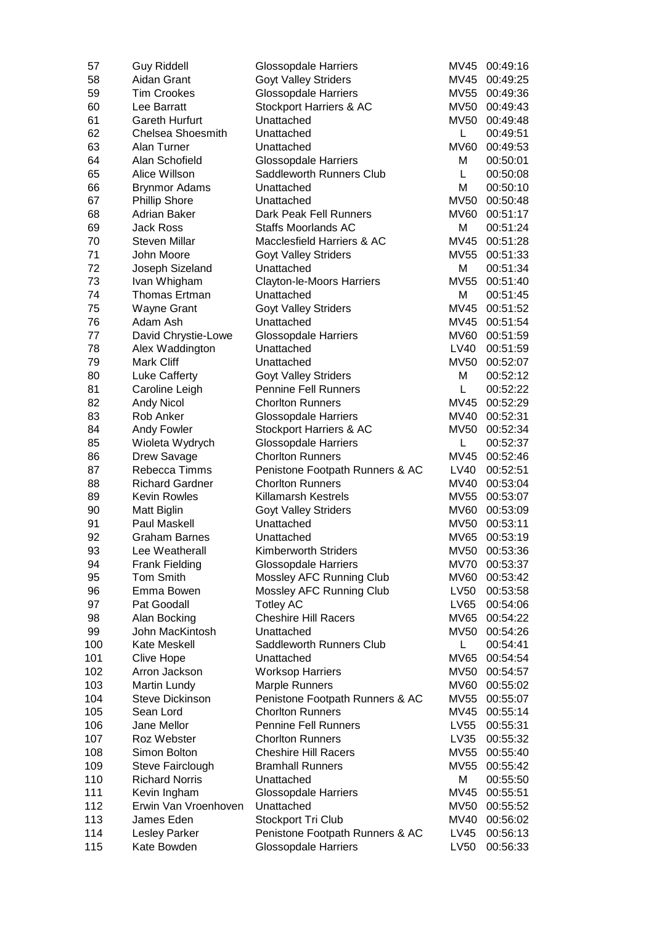| 57  | <b>Guy Riddell</b>       | Glossopdale Harriers             | MV45        | 00:49:16 |
|-----|--------------------------|----------------------------------|-------------|----------|
| 58  | Aidan Grant              | <b>Goyt Valley Striders</b>      | MV45        | 00:49:25 |
| 59  | <b>Tim Crookes</b>       | <b>Glossopdale Harriers</b>      | MV55        | 00:49:36 |
| 60  | Lee Barratt              | Stockport Harriers & AC          | <b>MV50</b> | 00:49:43 |
| 61  | <b>Gareth Hurfurt</b>    | Unattached                       | MV50        | 00:49:48 |
| 62  | <b>Chelsea Shoesmith</b> | Unattached                       | L.          | 00:49:51 |
| 63  | Alan Turner              | Unattached                       | <b>MV60</b> | 00:49:53 |
| 64  | Alan Schofield           | <b>Glossopdale Harriers</b>      | M           | 00:50:01 |
| 65  | Alice Willson            | Saddleworth Runners Club         | L           | 00:50:08 |
| 66  | <b>Brynmor Adams</b>     | Unattached                       | M           | 00:50:10 |
| 67  | <b>Phillip Shore</b>     | Unattached                       | <b>MV50</b> | 00:50:48 |
| 68  | <b>Adrian Baker</b>      | Dark Peak Fell Runners           | <b>MV60</b> | 00:51:17 |
| 69  | <b>Jack Ross</b>         | <b>Staffs Moorlands AC</b>       | M           | 00:51:24 |
| 70  | <b>Steven Millar</b>     | Macclesfield Harriers & AC       | MV45        | 00:51:28 |
| 71  | John Moore               | <b>Goyt Valley Striders</b>      | <b>MV55</b> | 00:51:33 |
| 72  | Joseph Sizeland          | Unattached                       | M           | 00:51:34 |
| 73  | Ivan Whigham             | <b>Clayton-le-Moors Harriers</b> | <b>MV55</b> | 00:51:40 |
| 74  | Thomas Ertman            | Unattached                       | M           | 00:51:45 |
| 75  | <b>Wayne Grant</b>       | <b>Goyt Valley Striders</b>      | <b>MV45</b> | 00:51:52 |
| 76  | Adam Ash                 | Unattached                       | <b>MV45</b> | 00:51:54 |
| 77  | David Chrystie-Lowe      | <b>Glossopdale Harriers</b>      | <b>MV60</b> | 00:51:59 |
| 78  | Alex Waddington          | Unattached                       | LV40        | 00:51:59 |
| 79  | Mark Cliff               | Unattached                       | <b>MV50</b> | 00:52:07 |
| 80  | Luke Cafferty            | <b>Goyt Valley Striders</b>      | M           | 00:52:12 |
| 81  | Caroline Leigh           | <b>Pennine Fell Runners</b>      | L           | 00:52:22 |
| 82  | <b>Andy Nicol</b>        | <b>Chorlton Runners</b>          | MV45        | 00:52:29 |
| 83  | Rob Anker                | <b>Glossopdale Harriers</b>      | <b>MV40</b> | 00:52:31 |
| 84  | Andy Fowler              | Stockport Harriers & AC          | <b>MV50</b> | 00:52:34 |
| 85  | Wioleta Wydrych          | <b>Glossopdale Harriers</b>      |             | 00:52:37 |
| 86  | Drew Savage              | <b>Chorlton Runners</b>          | L,<br>MV45  | 00:52:46 |
| 87  | Rebecca Timms            |                                  | LV40        |          |
|     |                          | Penistone Footpath Runners & AC  |             | 00:52:51 |
| 88  | <b>Richard Gardner</b>   | <b>Chorlton Runners</b>          | MV40        | 00:53:04 |
| 89  | <b>Kevin Rowles</b>      | <b>Killamarsh Kestrels</b>       | MV55        | 00:53:07 |
| 90  | Matt Biglin              | Goyt Valley Striders             | <b>MV60</b> | 00:53:09 |
| 91  | Paul Maskell             | Unattached                       | <b>MV50</b> | 00:53:11 |
| 92  | <b>Graham Barnes</b>     | Unattached                       | <b>MV65</b> | 00:53:19 |
| 93  | Lee Weatherall           | <b>Kimberworth Striders</b>      | <b>MV50</b> | 00:53:36 |
| 94  | <b>Frank Fielding</b>    | <b>Glossopdale Harriers</b>      | <b>MV70</b> | 00:53:37 |
| 95  | <b>Tom Smith</b>         | Mossley AFC Running Club         | <b>MV60</b> | 00:53:42 |
| 96  | Emma Bowen               | Mossley AFC Running Club         | LV50        | 00:53:58 |
| 97  | Pat Goodall              | <b>Totley AC</b>                 | LV65        | 00:54:06 |
| 98  | Alan Bocking             | <b>Cheshire Hill Racers</b>      | <b>MV65</b> | 00:54:22 |
| 99  | John MacKintosh          | Unattached                       | <b>MV50</b> | 00:54:26 |
| 100 | Kate Meskell             | Saddleworth Runners Club         | L.          | 00:54:41 |
| 101 | <b>Clive Hope</b>        | Unattached                       | <b>MV65</b> | 00:54:54 |
| 102 | Arron Jackson            | <b>Worksop Harriers</b>          | MV50        | 00:54:57 |
| 103 | Martin Lundy             | Marple Runners                   | <b>MV60</b> | 00:55:02 |
| 104 | <b>Steve Dickinson</b>   | Penistone Footpath Runners & AC  | <b>MV55</b> | 00:55:07 |
| 105 | Sean Lord                | <b>Chorlton Runners</b>          | MV45        | 00:55:14 |
| 106 | Jane Mellor              | <b>Pennine Fell Runners</b>      | LV55        | 00:55:31 |
| 107 | Roz Webster              | <b>Chorlton Runners</b>          | LV35        | 00:55:32 |
| 108 | Simon Bolton             | <b>Cheshire Hill Racers</b>      | MV55        | 00:55:40 |
| 109 | Steve Fairclough         | <b>Bramhall Runners</b>          | <b>MV55</b> | 00:55:42 |
| 110 | <b>Richard Norris</b>    | Unattached                       | M           | 00:55:50 |
| 111 | Kevin Ingham             | <b>Glossopdale Harriers</b>      | <b>MV45</b> | 00:55:51 |
| 112 | Erwin Van Vroenhoven     | Unattached                       | MV50        | 00:55:52 |
| 113 | James Eden               | Stockport Tri Club               | MV40        | 00:56:02 |
| 114 | Lesley Parker            | Penistone Footpath Runners & AC  | LV45        | 00:56:13 |
| 115 | Kate Bowden              | <b>Glossopdale Harriers</b>      | LV50        | 00:56:33 |
|     |                          |                                  |             |          |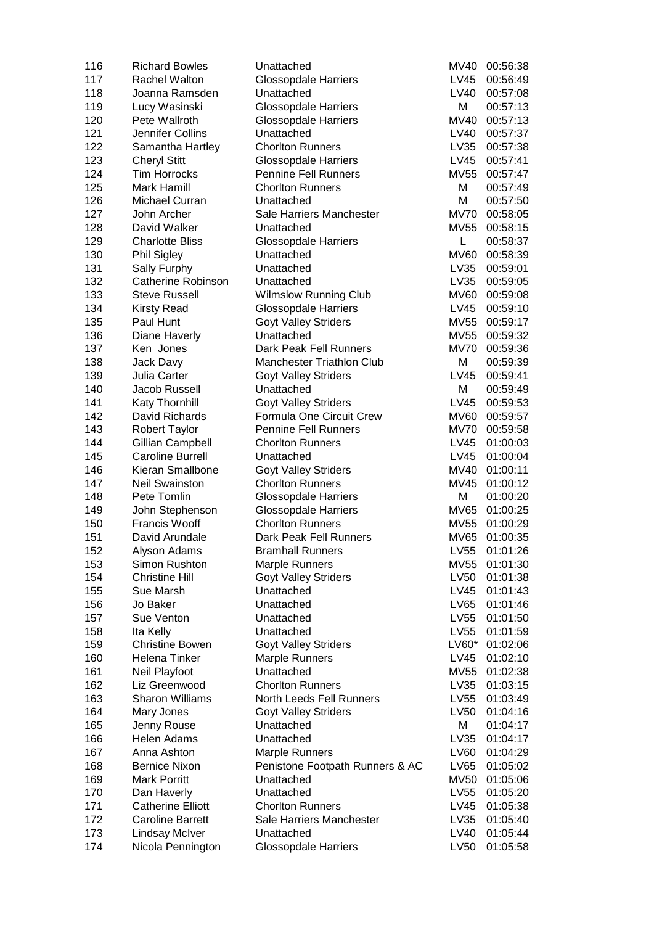| 116 | <b>Richard Bowles</b>     | Unattached                       | MV40        | 00:56:38 |
|-----|---------------------------|----------------------------------|-------------|----------|
| 117 | Rachel Walton             | Glossopdale Harriers             | LV45        | 00:56:49 |
| 118 | Joanna Ramsden            | Unattached                       | LV40        | 00:57:08 |
| 119 | Lucy Wasinski             | <b>Glossopdale Harriers</b>      | М           | 00:57:13 |
| 120 | Pete Wallroth             | <b>Glossopdale Harriers</b>      | <b>MV40</b> | 00:57:13 |
| 121 | Jennifer Collins          | Unattached                       | LV40        | 00:57:37 |
| 122 | Samantha Hartley          | <b>Chorlton Runners</b>          | LV35        | 00:57:38 |
| 123 | <b>Cheryl Stitt</b>       | <b>Glossopdale Harriers</b>      | LV45        | 00:57:41 |
| 124 | <b>Tim Horrocks</b>       | <b>Pennine Fell Runners</b>      | MV55        | 00:57:47 |
| 125 | Mark Hamill               | <b>Chorlton Runners</b>          | M           | 00:57:49 |
| 126 | Michael Curran            | Unattached                       | M           | 00:57:50 |
| 127 | John Archer               | Sale Harriers Manchester         | <b>MV70</b> | 00:58:05 |
| 128 | David Walker              | Unattached                       | <b>MV55</b> | 00:58:15 |
| 129 | <b>Charlotte Bliss</b>    | <b>Glossopdale Harriers</b>      | L           | 00:58:37 |
| 130 | Phil Sigley               | Unattached                       | <b>MV60</b> | 00:58:39 |
| 131 | Sally Furphy              | Unattached                       | LV35        | 00:59:01 |
| 132 | <b>Catherine Robinson</b> | Unattached                       | LV35        | 00:59:05 |
| 133 | Steve Russell             | <b>Wilmslow Running Club</b>     | <b>MV60</b> | 00:59:08 |
| 134 | <b>Kirsty Read</b>        | <b>Glossopdale Harriers</b>      | LV45        | 00:59:10 |
| 135 | Paul Hunt                 | <b>Goyt Valley Striders</b>      | <b>MV55</b> | 00:59:17 |
| 136 | Diane Haverly             | Unattached                       | MV55        | 00:59:32 |
| 137 | Ken Jones                 | Dark Peak Fell Runners           | <b>MV70</b> | 00:59:36 |
| 138 | Jack Davy                 | <b>Manchester Triathlon Club</b> | М           | 00:59:39 |
| 139 | Julia Carter              | <b>Goyt Valley Striders</b>      | LV45        | 00:59:41 |
| 140 | Jacob Russell             | Unattached                       | М           | 00:59:49 |
| 141 | Katy Thornhill            | <b>Goyt Valley Striders</b>      | LV45        | 00:59:53 |
| 142 | David Richards            | Formula One Circuit Crew         | MV60        | 00:59:57 |
| 143 | <b>Robert Taylor</b>      | <b>Pennine Fell Runners</b>      | MV70        | 00:59:58 |
| 144 | Gillian Campbell          | <b>Chorlton Runners</b>          | LV45        | 01:00:03 |
| 145 | <b>Caroline Burrell</b>   | Unattached                       | LV45        | 01:00:04 |
| 146 | Kieran Smallbone          |                                  | MV40        |          |
|     |                           | <b>Goyt Valley Striders</b>      |             | 01:00:11 |
| 147 | <b>Neil Swainston</b>     | <b>Chorlton Runners</b>          | MV45        | 01:00:12 |
| 148 | Pete Tomlin               | <b>Glossopdale Harriers</b>      | M           | 01:00:20 |
| 149 | John Stephenson           | Glossopdale Harriers             | MV65        | 01:00:25 |
| 150 | Francis Wooff             | <b>Chorlton Runners</b>          | MV55        | 01:00:29 |
| 151 | David Arundale            | Dark Peak Fell Runners           | <b>MV65</b> | 01:00:35 |
| 152 | Alyson Adams              | <b>Bramhall Runners</b>          | LV55        | 01:01:26 |
| 153 | Simon Rushton             | <b>Marple Runners</b>            | <b>MV55</b> | 01:01:30 |
| 154 | <b>Christine Hill</b>     | <b>Goyt Valley Striders</b>      | LV50        | 01:01:38 |
| 155 | Sue Marsh                 | Unattached                       | LV45        | 01:01:43 |
| 156 | Jo Baker                  | Unattached                       | LV65        | 01:01:46 |
| 157 | Sue Venton                | Unattached                       | LV55        | 01:01:50 |
| 158 | Ita Kelly                 | Unattached                       | LV55        | 01:01:59 |
| 159 | <b>Christine Bowen</b>    | <b>Goyt Valley Striders</b>      | $LVO0*$     | 01:02:06 |
| 160 | Helena Tinker             | <b>Marple Runners</b>            | LV45        | 01:02:10 |
| 161 | Neil Playfoot             | Unattached                       | MV55        | 01:02:38 |
| 162 | Liz Greenwood             | <b>Chorlton Runners</b>          | LV35        | 01:03:15 |
| 163 | <b>Sharon Williams</b>    | North Leeds Fell Runners         | LV55        | 01:03:49 |
| 164 | Mary Jones                | <b>Goyt Valley Striders</b>      | LV50        | 01:04:16 |
| 165 | Jenny Rouse               | Unattached                       | M           | 01:04:17 |
| 166 | Helen Adams               | Unattached                       | LV35        | 01:04:17 |
| 167 | Anna Ashton               | <b>Marple Runners</b>            | LV60        | 01:04:29 |
| 168 | <b>Bernice Nixon</b>      | Penistone Footpath Runners & AC  | LV65        | 01:05:02 |
| 169 | <b>Mark Porritt</b>       | Unattached                       | MV50        | 01:05:06 |
| 170 | Dan Haverly               | Unattached                       | LV55        | 01:05:20 |
| 171 | <b>Catherine Elliott</b>  | <b>Chorlton Runners</b>          | LV45        | 01:05:38 |
| 172 | <b>Caroline Barrett</b>   | Sale Harriers Manchester         | LV35        | 01:05:40 |
| 173 | <b>Lindsay McIver</b>     | Unattached                       | LV40        | 01:05:44 |
| 174 | Nicola Pennington         | <b>Glossopdale Harriers</b>      | LV50        | 01:05:58 |
|     |                           |                                  |             |          |